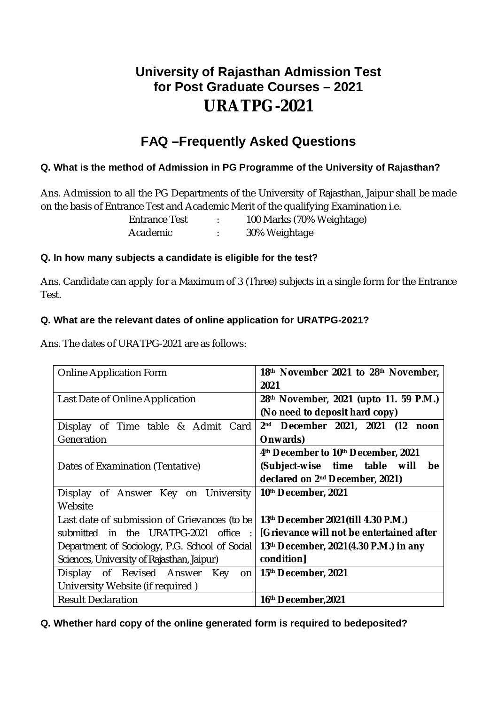# **University of Rajasthan Admission Test for Post Graduate Courses – 2021 URATPG-2021**

# **FAQ –Frequently Asked Questions**

# **Q. What is the method of Admission in PG Programme of the University of Rajasthan?**

Ans. Admission to all the PG Departments of the University of Rajasthan, Jaipur shall be made on the basis of Entrance Test and Academic Merit of the qualifying Examination i.e.

> Entrance Test : 100 Marks (70% Weightage) Academic : 30% Weightage

# **Q. In how many subjects a candidate is eligible for the test?**

Ans. Candidate can apply for a Maximum of 3 (Three) subjects in a single form for the Entrance Test.

# **Q. What are the relevant dates of online application for URATPG-2021?**

Ans. The dates of URATPG-2021 are as follows:

| <b>Online Application Form</b>                 | 18th November 2021 to 28th November,               |  |  |
|------------------------------------------------|----------------------------------------------------|--|--|
|                                                | 2021                                               |  |  |
| Last Date of Online Application                | 28th November, 2021 (upto 11. 59 P.M.)             |  |  |
|                                                | (No need to deposit hard copy)                     |  |  |
| Time table & Admit Card<br>Display of          | 2 <sup>nd</sup><br>December 2021, 2021 (12<br>noon |  |  |
| Generation                                     | Onwards)                                           |  |  |
|                                                | 4th December to 10th December, 2021                |  |  |
| Dates of Examination (Tentative)               | (Subject-wise time table will<br>be                |  |  |
|                                                | declared on 2 <sup>nd</sup> December, 2021)        |  |  |
| Display of Answer Key on University            | 10th December, 2021                                |  |  |
| Website                                        |                                                    |  |  |
| Last date of submission of Grievances (to be   | 13th December 2021(till 4.30 P.M.)                 |  |  |
| in the URATPG-2021<br>submitted<br>office      | [Grievance will not be entertained after           |  |  |
| Department of Sociology, P.G. School of Social | 13th December, 2021(4.30 P.M.) in any              |  |  |
| Sciences, University of Rajasthan, Jaipur)     | condition]                                         |  |  |
| Display of Revised Answer<br>Key<br>on         | 15 <sup>th</sup> December, 2021                    |  |  |
| University Website (if required)               |                                                    |  |  |
| <b>Result Declaration</b>                      | 16 <sup>th</sup> December, 2021                    |  |  |

#### **Q. Whether hard copy of the online generated form is required to bedeposited?**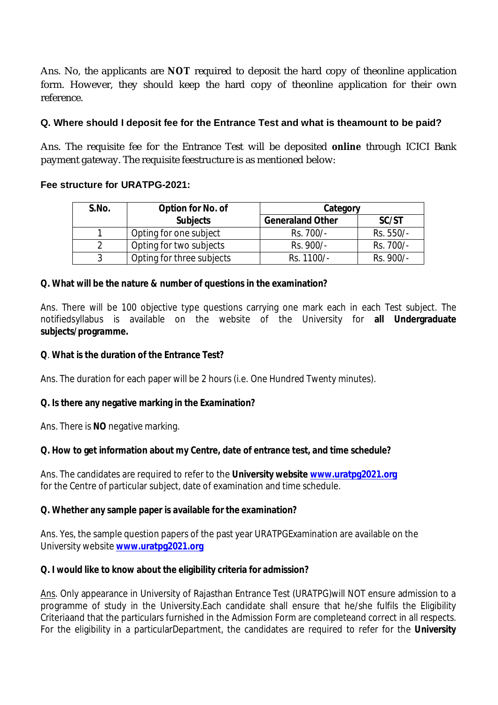Ans. No, the applicants are **NOT** required to deposit the hard copy of theonline application form. However, they should keep the hard copy of theonline application for their own reference.

# **Q. Where should I deposit fee for the Entrance Test and what is theamount to be paid?**

Ans. The requisite fee for the Entrance Test will be deposited **online** through ICICI Bank payment gateway. The requisite feestructure is as mentioned below:

# **Fee structure for URATPG-2021:**

| S.No. | Option for No. of         | Category                |           |
|-------|---------------------------|-------------------------|-----------|
|       | <b>Subjects</b>           | <b>Generaland Other</b> | SC/ST     |
|       | Opting for one subject    | Rs. 700/-               | Rs. 550/- |
|       | Opting for two subjects   | Rs. 900/-               | Rs. 700/- |
|       | Opting for three subjects | Rs. 1100/-              | Rs. 900/- |

# **Q. What will be the nature & number of questions in the examination?**

Ans. There will be 100 objective type questions carrying one mark each in each Test subject. The notifiedsyllabus is available on the website of the University for **all Undergraduate subjects/programme.**

#### **Q**. **What is the duration of the Entrance Test?**

Ans. The duration for each paper will be 2 hours (i.e. One Hundred Twenty minutes).

#### **Q. Is there any negative marking in the Examination?**

Ans. There is **NO** negative marking.

#### **Q. How to get information about my Centre, date of entrance test, and time schedule?**

Ans. The candidates are required to refer to the **University website [www.uratpg2021.org](http://www.uratpg2021.org)** for the Centre of particular subject, date of examination and time schedule.

#### **Q. Whether any sample paper is available for the examination?**

Ans. Yes, the sample question papers of the past year URATPGExamination are available on the University website **[www.uratpg2021.org](http://www.uratpg2021.org)**

#### **Q. I would like to know about the eligibility criteria for admission?**

Ans. Only appearance in University of Rajasthan Entrance Test (URATPG)will NOT ensure admission to a programme of study in the University.Each candidate shall ensure that he/she fulfils the Eligibility Criteriaand that the particulars furnished in the Admission Form are completeand correct in all respects. For the eligibility in a particularDepartment, the candidates are required to refer for the **University**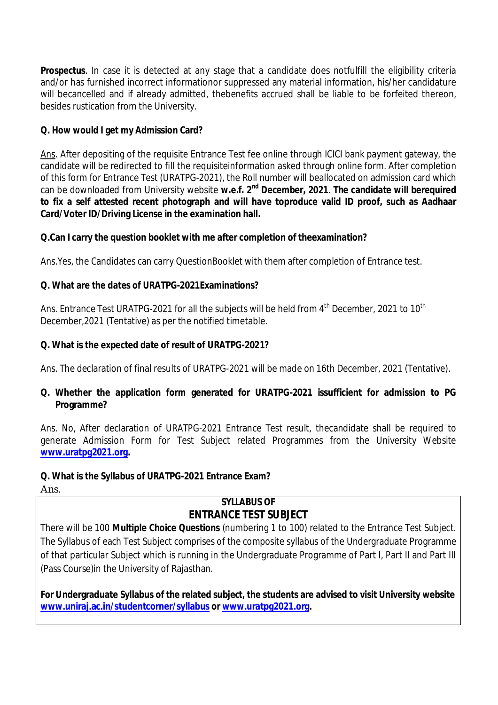**Prospectus**. In case it is detected at any stage that a candidate does notfulfill the eligibility criteria and/or has furnished incorrect informationor suppressed any material information, his/her candidature will becancelled and if already admitted, thebenefits accrued shall be liable to be forfeited thereon, besides rustication from the University.

# **Q. How would I get my Admission Card?**

Ans. After depositing of the requisite Entrance Test fee online through ICICI bank payment gateway, the candidate will be redirected to fill the requisiteinformation asked through online form. After completion of this form for Entrance Test (URATPG-2021), the Roll number will beallocated on admission card which can be downloaded from University website w.e.f. 2<sup>nd</sup> December, 2021. The candidate will berequired **to fix a self attested recent photograph and will have toproduce valid ID proof, such as Aadhaar Card/Voter ID/Driving License in the examination hall.**

# **Q.Can I carry the question booklet with me after completion of theexamination?**

Ans.Yes, the Candidates can carry QuestionBooklet with them after completion of Entrance test.

# **Q. What are the dates of URATPG-2021Examinations?**

Ans. Entrance Test URATPG-2021 for all the subjects will be held from 4<sup>th</sup> December, 2021 to 10<sup>th</sup> December,2021 (Tentative) as per the notified timetable.

# **Q. What is the expected date of result of URATPG-2021?**

Ans. The declaration of final results of URATPG-2021 will be made on 16th December, 2021 (Tentative).

# **Q. Whether the application form generated for URATPG-2021 issufficient for admission to PG Programme?**

Ans. No, After declaration of URATPG-2021 Entrance Test result, thecandidate shall be required to generate Admission Form for Test Subject related Programmes from the University Website **[www.uratpg2021.org.](http://www.uratpg2021.org.)**

# **Q. What is the Syllabus of URATPG-2021 Entrance Exam?**

Ans.

# **SYLLABUS OF ENTRANCE TEST SUBJECT**

There will be 100 **Multiple Choice Questions** (numbering 1 to 100) related to the Entrance Test Subject. The Syllabus of each Test Subject comprises of the composite syllabus of the Undergraduate Programme of that particular Subject which is running in the Undergraduate Programme of Part I, Part II and Part III (Pass Course)in the University of Rajasthan.

**For Undergraduate Syllabus of the related subject, the students are advised to visit University website [www.uniraj.ac.in/studentcorner/syllabus](http://www.uniraj.ac.in/studentcorner/syllabus) or [www.uratpg2021.org.](http://www.uratpg2021.org.)**